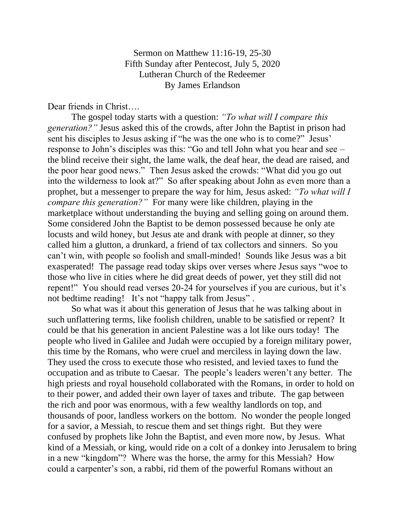Sermon on Matthew 11:16-19, 25-30 Fifth Sunday after Pentecost, July 5, 2020 Lutheran Church of the Redeemer By James Erlandson

Dear friends in Christ….

The gospel today starts with a question: *"To what will I compare this generation?"* Jesus asked this of the crowds, after John the Baptist in prison had sent his disciples to Jesus asking if "he was the one who is to come?" Jesus' response to John's disciples was this: "Go and tell John what you hear and see – the blind receive their sight, the lame walk, the deaf hear, the dead are raised, and the poor hear good news." Then Jesus asked the crowds: "What did you go out into the wilderness to look at?" So after speaking about John as even more than a prophet, but a messenger to prepare the way for him, Jesus asked: *"To what will I compare this generation?"* For many were like children, playing in the marketplace without understanding the buying and selling going on around them. Some considered John the Baptist to be demon possessed because he only ate locusts and wild honey, but Jesus ate and drank with people at dinner, so they called him a glutton, a drunkard, a friend of tax collectors and sinners. So you can't win, with people so foolish and small-minded! Sounds like Jesus was a bit exasperated! The passage read today skips over verses where Jesus says "woe to those who live in cities where he did great deeds of power, yet they still did not repent!" You should read verses 20-24 for yourselves if you are curious, but it's not bedtime reading! It's not "happy talk from Jesus".

So what was it about this generation of Jesus that he was talking about in such unflattering terms, like foolish children, unable to be satisfied or repent? It could be that his generation in ancient Palestine was a lot like ours today! The people who lived in Galilee and Judah were occupied by a foreign military power, this time by the Romans, who were cruel and merciless in laying down the law. They used the cross to execute those who resisted, and levied taxes to fund the occupation and as tribute to Caesar. The people's leaders weren't any better. The high priests and royal household collaborated with the Romans, in order to hold on to their power, and added their own layer of taxes and tribute. The gap between the rich and poor was enormous, with a few wealthy landlords on top, and thousands of poor, landless workers on the bottom. No wonder the people longed for a savior, a Messiah, to rescue them and set things right. But they were confused by prophets like John the Baptist, and even more now, by Jesus. What kind of a Messiah, or king, would ride on a colt of a donkey into Jerusalem to bring in a new "kingdom"? Where was the horse, the army for this Messiah? How could a carpenter's son, a rabbi, rid them of the powerful Romans without an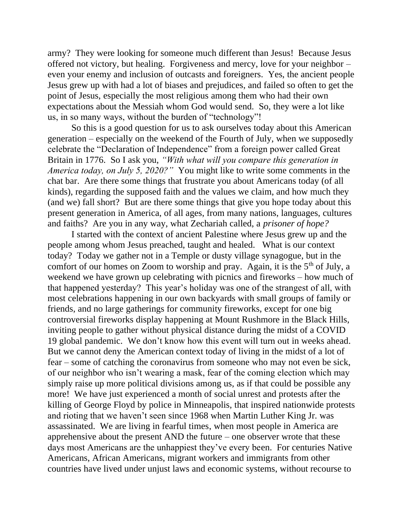army? They were looking for someone much different than Jesus! Because Jesus offered not victory, but healing. Forgiveness and mercy, love for your neighbor – even your enemy and inclusion of outcasts and foreigners. Yes, the ancient people Jesus grew up with had a lot of biases and prejudices, and failed so often to get the point of Jesus, especially the most religious among them who had their own expectations about the Messiah whom God would send. So, they were a lot like us, in so many ways, without the burden of "technology"!

So this is a good question for us to ask ourselves today about this American generation – especially on the weekend of the Fourth of July, when we supposedly celebrate the "Declaration of Independence" from a foreign power called Great Britain in 1776. So I ask you, *"With what will you compare this generation in America today, on July 5, 2020?"* You might like to write some comments in the chat bar. Are there some things that frustrate you about Americans today (of all kinds), regarding the supposed faith and the values we claim, and how much they (and we) fall short? But are there some things that give you hope today about this present generation in America, of all ages, from many nations, languages, cultures and faiths? Are you in any way, what Zechariah called, a *prisoner of hope?*

I started with the context of ancient Palestine where Jesus grew up and the people among whom Jesus preached, taught and healed. What is our context today? Today we gather not in a Temple or dusty village synagogue, but in the comfort of our homes on Zoom to worship and pray. Again, it is the  $5<sup>th</sup>$  of July, a weekend we have grown up celebrating with picnics and fireworks – how much of that happened yesterday? This year's holiday was one of the strangest of all, with most celebrations happening in our own backyards with small groups of family or friends, and no large gatherings for community fireworks, except for one big controversial fireworks display happening at Mount Rushmore in the Black Hills, inviting people to gather without physical distance during the midst of a COVID 19 global pandemic. We don't know how this event will turn out in weeks ahead. But we cannot deny the American context today of living in the midst of a lot of fear – some of catching the coronavirus from someone who may not even be sick, of our neighbor who isn't wearing a mask, fear of the coming election which may simply raise up more political divisions among us, as if that could be possible any more! We have just experienced a month of social unrest and protests after the killing of George Floyd by police in Minneapolis, that inspired nationwide protests and rioting that we haven't seen since 1968 when Martin Luther King Jr. was assassinated. We are living in fearful times, when most people in America are apprehensive about the present AND the future – one observer wrote that these days most Americans are the unhappiest they've every been. For centuries Native Americans, African Americans, migrant workers and immigrants from other countries have lived under unjust laws and economic systems, without recourse to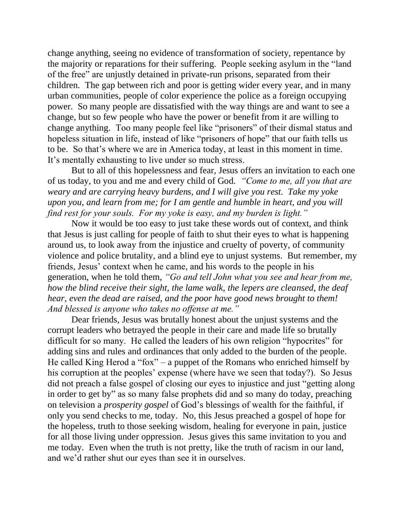change anything, seeing no evidence of transformation of society, repentance by the majority or reparations for their suffering. People seeking asylum in the "land of the free" are unjustly detained in private-run prisons, separated from their children. The gap between rich and poor is getting wider every year, and in many urban communities, people of color experience the police as a foreign occupying power. So many people are dissatisfied with the way things are and want to see a change, but so few people who have the power or benefit from it are willing to change anything. Too many people feel like "prisoners" of their dismal status and hopeless situation in life, instead of like "prisoners of hope" that our faith tells us to be. So that's where we are in America today, at least in this moment in time. It's mentally exhausting to live under so much stress.

But to all of this hopelessness and fear, Jesus offers an invitation to each one of us today, to you and me and every child of God. *"Come to me, all you that are weary and are carrying heavy burdens, and I will give you rest. Take my yoke upon you, and learn from me; for I am gentle and humble in heart, and you will find rest for your souls. For my yoke is easy, and my burden is light."*

Now it would be too easy to just take these words out of context, and think that Jesus is just calling for people of faith to shut their eyes to what is happening around us, to look away from the injustice and cruelty of poverty, of community violence and police brutality, and a blind eye to unjust systems. But remember, my friends, Jesus' context when he came, and his words to the people in his generation, when he told them, *"Go and tell John what you see and hear from me, how the blind receive their sight, the lame walk, the lepers are cleansed, the deaf hear, even the dead are raised, and the poor have good news brought to them! And blessed is anyone who takes no offense at me."*

Dear friends, Jesus was brutally honest about the unjust systems and the corrupt leaders who betrayed the people in their care and made life so brutally difficult for so many. He called the leaders of his own religion "hypocrites" for adding sins and rules and ordinances that only added to the burden of the people. He called King Herod a "fox" – a puppet of the Romans who enriched himself by his corruption at the peoples' expense (where have we seen that today?). So Jesus did not preach a false gospel of closing our eyes to injustice and just "getting along in order to get by" as so many false prophets did and so many do today, preaching on television a *prosperity gospel* of God's blessings of wealth for the faithful, if only you send checks to me, today. No, this Jesus preached a gospel of hope for the hopeless, truth to those seeking wisdom, healing for everyone in pain, justice for all those living under oppression. Jesus gives this same invitation to you and me today. Even when the truth is not pretty, like the truth of racism in our land, and we'd rather shut our eyes than see it in ourselves.